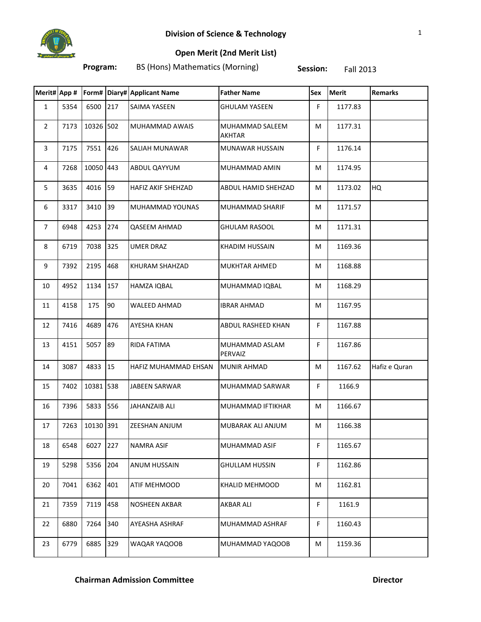

## **Open Merit (2nd Merit List)**

**Program:** BS (Hons) Mathematics (Morning) **Session:** Fall 2013

|                |      |           |            | Merit# App #   Form# Diary# Applicant Name | <b>Father Name</b>               | Sex | <b>Merit</b> | <b>Remarks</b> |
|----------------|------|-----------|------------|--------------------------------------------|----------------------------------|-----|--------------|----------------|
| $\mathbf{1}$   | 5354 | 6500      | 217        | SAIMA YASEEN                               | <b>GHULAM YASEEN</b>             | F.  | 1177.83      |                |
| $\overline{2}$ | 7173 | 10326 502 |            | MUHAMMAD AWAIS                             | MUHAMMAD SALEEM<br><b>AKHTAR</b> | М   | 1177.31      |                |
| 3              | 7175 | 7551      | 426        | SALIAH MUNAWAR                             | MUNAWAR HUSSAIN                  | F.  | 1176.14      |                |
| 4              | 7268 | 10050 443 |            | ABDUL QAYYUM                               | MUHAMMAD AMIN                    | M   | 1174.95      |                |
| 5              | 3635 | 4016      | 59         | HAFIZ AKIF SHEHZAD                         | ABDUL HAMID SHEHZAD              | М   | 1173.02      | HQ             |
| 6              | 3317 | 3410      | 39         | MUHAMMAD YOUNAS                            | <b>MUHAMMAD SHARIF</b>           | М   | 1171.57      |                |
| $\overline{7}$ | 6948 | 4253      | 274        | <b>QASEEM AHMAD</b>                        | <b>GHULAM RASOOL</b>             | M   | 1171.31      |                |
| 8              | 6719 | 7038      | 325        | <b>UMER DRAZ</b>                           | <b>KHADIM HUSSAIN</b>            | M   | 1169.36      |                |
| 9              | 7392 | 2195      | 468        | KHURAM SHAHZAD                             | <b>MUKHTAR AHMED</b>             | M   | 1168.88      |                |
| 10             | 4952 | 1134      | 157        | HAMZA IQBAL                                | MUHAMMAD IQBAL                   | M   | 1168.29      |                |
| 11             | 4158 | 175       | 90         | WALEED AHMAD                               | IBRAR AHMAD                      | М   | 1167.95      |                |
| 12             | 7416 | 4689      | 476        | <b>AYESHA KHAN</b>                         | ABDUL RASHEED KHAN               | F.  | 1167.88      |                |
| 13             | 4151 | 5057      | 89         | RIDA FATIMA                                | MUHAMMAD ASLAM<br>PERVAIZ        | F   | 1167.86      |                |
| 14             | 3087 | 4833      | $\vert$ 15 | HAFIZ MUHAMMAD EHSAN                       | <b>MUNIR AHMAD</b>               | M   | 1167.62      | Hafiz e Quran  |
| 15             | 7402 | 10381 538 |            | <b>JABEEN SARWAR</b>                       | MUHAMMAD SARWAR                  | F.  | 1166.9       |                |
| 16             | 7396 | 5833      | 556        | <b>JAHANZAIB ALI</b>                       | MUHAMMAD IFTIKHAR                | M   | 1166.67      |                |
| 17             | 7263 | 10130 391 |            | <b>ZEESHAN ANJUM</b>                       | MUBARAK ALI ANJUM                | М   | 1166.38      |                |
| 18             | 6548 | 6027      | 227        | NAMRA ASIF                                 | MUHAMMAD ASIF                    | F   | 1165.67      |                |
| 19             | 5298 | 5356      | 204        | <b>ANUM HUSSAIN</b>                        | <b>GHULLAM HUSSIN</b>            | F   | 1162.86      |                |
| 20             | 7041 | 6362      | 401        | ATIF MEHMOOD                               | KHALID MEHMOOD                   | М   | 1162.81      |                |
| 21             | 7359 | 7119      | 458        | NOSHEEN AKBAR                              | <b>AKBAR ALI</b>                 | F.  | 1161.9       |                |
| 22             | 6880 | 7264      | 340        | AYEASHA ASHRAF                             | MUHAMMAD ASHRAF                  | F.  | 1160.43      |                |
| 23             | 6779 | 6885      | 329        | WAQAR YAQOOB                               | MUHAMMAD YAQOOB                  | М   | 1159.36      |                |